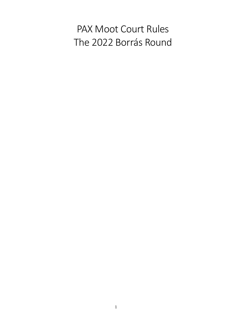# PAX Moot Court Rules The 2022 Borrás Round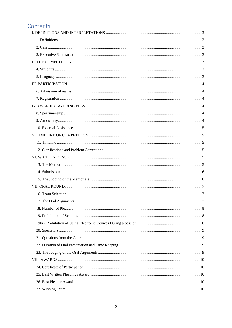# Contents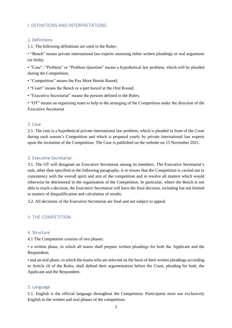# <span id="page-2-0"></span>I. DEFINITIONS AND INTERPRETATIONS

#### <span id="page-2-1"></span>1. Definitions

1.1. The following definitions are used in the Rules:

• "Bench" means private international law experts assessing either written pleadings or oral arguments (or both);

• "Case", "Problem" or "Problem Question" means a hypothetical law problem, which will be pleaded during the Competition;

- "Competition" means the Pax Moot Borrás Round;
- "Court" means the Bench or a part hereof at the Oral Round;
- "Executive Secretariat" means the persons defined in the Rules;

• "OT" means an organising team to help in the arranging of the Competition under the direction of the Executive Secretariat

#### <span id="page-2-2"></span>2. Case

2.1. The case is a hypothetical private international law problem, which is pleaded in front of the Court during each season's Competition and which is prepared yearly by private international law experts upon the invitation of the Competition. The Case is published on the website on 15 November 2021.

#### <span id="page-2-3"></span>3. Executive Secretariat

3.1. The OT will designate an Executive Secretariat among its members. The Executive Secretariat's task, other than specified in the following paragraphs, is to ensure that the Competition is carried out in consistency with the overall spirit and aim of the competition and to resolve all matters which would otherwise be detrimental to the organisation of the Competition. In particular, where the Bench is not able to reach a decision, the Executive Secretariat will have the final decision, including but not limited to matters of disqualification and calculation of results.

3.2. All decisions of the Executive Secretariat are final and not subject to appeal.

#### <span id="page-2-4"></span>II. THE COMPETITION

#### <span id="page-2-5"></span>4. Structure

4.1 The Competition consists of two phases:

• a written phase, in which all teams shall prepare written pleadings for both the Applicant and the Respondent;

• and an oral phase, in which the teams who are selected on the basis of their written pleadings according to Article 16 of the Rules, shall defend their argumentation before the Court, pleading for both, the Applicant and the Respondent.

#### <span id="page-2-6"></span>5. Language

5.1. English is the official language throughout the Competition. Participants must use exclusively English in the written and oral phases of the competition.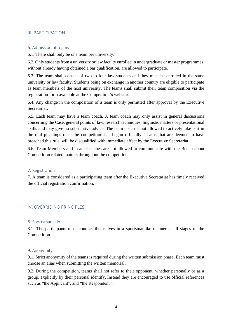#### <span id="page-3-0"></span>III. PARTICIPATION

#### <span id="page-3-1"></span>6. Admission of teams

6.1. There shall only be one team per university.

6.2. Only students from a university or law faculty enrolled in undergraduate or master programmes, without already having obtained a bar qualification, are allowed to participate.

6.3. The team shall consist of two to four law students and they must be enrolled in the same university or law faculty. Students being on exchange in another country are eligible to participate as team members of the host university. The teams shall submit their team composition via the registration form available at the Competition's website.

6.4. Any change in the composition of a team is only permitted after approval by the Executive Secretariat.

6.5. Each team may have a team coach. A team coach may only assist in general discussions concerning the Case, general points of law, research techniques, linguistic matters or presentational skills and may give no substantive advice. The team coach is not allowed to actively take part in the oral pleadings once the competition has begun officially. Teams that are deemed to have breached this rule, will be disqualified with immediate effect by the Executive Secretariat.

6.6. Team Members and Team Coaches are not allowed to communicate with the Bench about Competition related matters throughout the competition.

#### <span id="page-3-2"></span>7. Registration

7. A team is considered as a participating team after the Executive Secretariat has timely received the official registration confirmation.

# <span id="page-3-3"></span>IV. OVERRIDING PRINCIPLES

#### <span id="page-3-4"></span>8. Sportsmanship

8.1. The participants must conduct themselves in a sportsmanlike manner at all stages of the Competition.

#### <span id="page-3-5"></span>9. Anonymity

9.1. Strict anonymity of the teams is required during the written submission phase. Each team must choose an alias when submitting the written memorial.

9.2. During the competition, teams shall not refer to their opponent, whether personally or as a group, explicitly by their personal identify. Instead they are encouraged to use official references such as "the Applicant", and "the Respondent".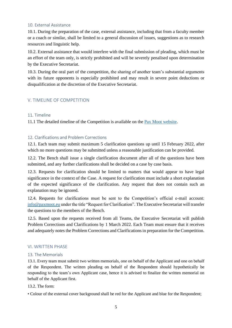#### <span id="page-4-0"></span>10. External Assistance

10.1. During the preparation of the case, external assistance, including that from a faculty member or a coach or similar, shall be limited to a general discussion of issues, suggestions as to research resources and linguistic help.

10.2. External assistance that would interfere with the final submission of pleading, which must be an effort of the team only, is strictly prohibited and will be severely penalised upon determination by the Executive Secretariat.

10.3. During the oral part of the competition, the sharing of another team's substantial arguments with its future opponents is especially prohibited and may result in severe point deductions or disqualification at the discretion of the Executive Secretariat.

# <span id="page-4-1"></span>V. TIMELINE OF COMPETITION

#### <span id="page-4-2"></span>11. Timeline

11.1 The detailed timeline of the Competition is available on the [Pax Moot website.](https://paxmoot.eu/)

## <span id="page-4-3"></span>12. Clarifications and Problem Corrections

12.1. Each team may submit maximum 5 clarification questions up until 15 February 2022, after which no more questions may be submitted unless a reasonable justification can be provided.

12.2. The Bench shall issue a single clarification document after all of the questions have been submitted, and any further clarifications shall be decided on a case by case basis.

12.3. Requests for clarification should be limited to matters that would appear to have legal significance in the context of the Case. A request for clarification must include a short explanation of the expected significance of the clarification. Any request that does not contain such an explanation may be ignored.

12.4. Requests for clarifications must be sent to the Competition's official e-mail account: [info@paxmoot.eu](mailto:info@paxmoot.com) under the title "Request for Clarification". The Executive Secretariat will transfer the questions to the members of the Bench.

12.5. Based upon the requests received from all Teams, the Executive Secretariat will publish Problem Corrections and Clarifications by 1 March 2022. Each Team must ensure that it receives and adequately notes the Problem Corrections and Clarifications in preparation for the Competition.

#### <span id="page-4-4"></span>VI. WRITTEN PHASE

#### <span id="page-4-5"></span>13. The Memorials

13.1. Every team must submit two written memorials, one on behalf of the Applicant and one on behalf of the Respondent. The written pleading on behalf of the Respondent should hypothetically be responding to the team's own Applicant case, hence it is advised to finalize the written memorial on behalf of the Applicant first.

#### 13.2. The form:

• Colour of the external cover background shall be red for the Applicant and blue for the Respondent;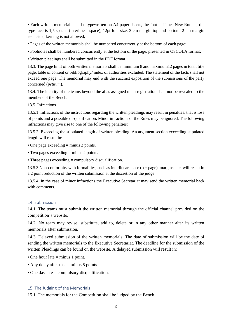• Each written memorial shall be typewritten on A4 paper sheets, the font is Times New Roman, the type face is 1,5 spaced (interlinear space), 12pt font size, 3 cm margin top and bottom, 2 cm margin each side; kerning is not allowed;

- Pages of the written memorials shall be numbered concurrently at the bottom of each page;
- Footnotes shall be numbered concurrently at the bottom of the page, presented in OSCOLA format;
- Written pleadings shall be submitted in the PDF format.

13.3. The page limit of both written memorials shall be minimum 8 and maximum12 pages in total, title page, table of content or bibliography/ index of authorities excluded. The statement of the facts shall not exceed one page. The memorial may end with the succinct exposition of the submissions of the party concerned (*petitum*).

13.4. The identity of the teams beyond the alias assigned upon registration shall not be revealed to the members of the Bench.

13.5. Infractions

13.5.1. Infractions of the instructions regarding the written pleadings may result in penalties, that is loss of points and a possible disqualification. Minor infractions of the Rules may be ignored. The following infractions may give rise to one of the following penalties:

13.5.2. Exceeding the stipulated length of written pleading. An argument section exceeding stipulated length will result in:

• One page exceeding = minus 2 points.

• Two pages exceeding = minus 4 points.

• Three pages exceeding = compulsory disqualification.

13.5.3 Non-conformity with formalities, such as interlinear space (per page), margins, etc. will result in a 2 point reduction of the written submission at the discretion of the judge

13.5.4. In the case of minor infractions the Executive Secretariat may send the written memorial back with comments.

#### <span id="page-5-0"></span>14. Submission

14.1. The teams must submit the written memorial through the official channel provided on the competition's website.

14.2. No team may revise, substitute, add to, delete or in any other manner alter its written memorials after submission.

14.3. Delayed submission of the written memorials. The date of submission will be the date of sending the written memorials to the Executive Secretariat. The deadline for the submission of the written Pleadings can be found on the website. A delayed submission will result in:

- One hour late = minus 1 point.
- Any delay after that  $=$  minus 5 points.
- One day late = compulsory disqualification.

#### <span id="page-5-1"></span>15. The Judging of the Memorials

15.1. The memorials for the Competition shall be judged by the Bench.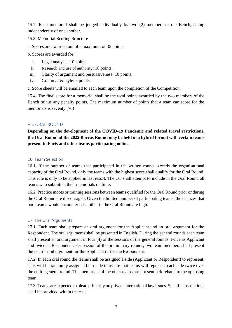15.2. Each memorial shall be judged individually by two (2) members of the Bench, acting independently of one another.

- 15.3. Memorial Scoring Structure
- a. Scores are awarded out of a maximum of 35 points.

b. Scores are awarded for:

- i. Legal analysis: 10 points.
- ii. Research and use of authority: 10 points.
- iii. Clarity of argument and persuasiveness: 10 points.
- iv. Grammar & style: 5 points.

c. Score sheets will be emailed to each team upon the completion of the Competition.

15.4. The final score for a memorial shall be the total points awarded by the two members of the Bench minus any penalty points. The maximum number of points that a team can score for the memorials is seventy (70).

# <span id="page-6-0"></span>VII. ORAL ROUND

**Depending on the development of the COVID-19 Pandemic and related travel restrictions, the Oral Round of the 2022 Borrás Round may be held in a hybrid format with certain teams present in Paris and other teams participating online.**

## <span id="page-6-1"></span>16. Team Selection

16.1. If the number of teams that participated in the written round exceeds the organisational capacity of the Oral Round, only the teams with the highest score shall qualify for the Oral Round. This rule is only to be applied in last resort. The OT shall attempt to include in the Oral Round all teams who submitted their memorials on time.

16.2. Practice moots or training sessions between teams qualified for the Oral Round prior or during the Oral Round are discouraged. Given the limited number of participating teams, the chances that both teams would encounter each other in the Oral Round are high.

# <span id="page-6-2"></span>17. The Oral Arguments

17.1. Each team shall prepare an oral argument for the Applicant and an oral argument for the Respondent. The oral arguments shall be presented in English. During the general rounds each team shall present an oral argument in four (4) of the sessions of the general rounds: twice as Applicant and twice as Respondent. Per session of the preliminary rounds, two team members shall present the team's oral argument for the Applicant or for the Respondent.

17.2. In each oral round the teams shall be assigned a side (Applicant or Respondent) to represent. This will be randomly assigned but made to assure that teams will represent each side twice over the entire general round. The memorials of the other teams are not sent beforehand to the opposing team.

17.3. Teams are expected to plead primarily on private international law issues. Specific instructions shall be provided within the case.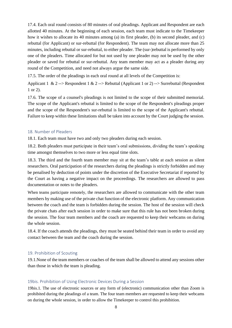17.4. Each oral round consists of 80 minutes of oral pleadings. Applicant and Respondent are each allotted 40 minutes. At the beginning of each session, each team must indicate to the Timekeeper how it wishes to allocate its 40 minutes among (a) its first pleader, (b) its second pleader, and (c) rebuttal (for Applicant) or sur-rebuttal (for Respondent). The team may not allocate more than 25 minutes, including rebuttal or sur-rebuttal, to either pleader. The (sur-)rebuttal is performed by only one of the pleaders. Time allocated for but not used by one pleader may not be used by the other pleader or saved for rebuttal or sur-rebuttal. Any team member may act as a pleader during any round of the Competition, and need not always argue the same side.

17.5. The order of the pleadings in each oral round at all levels of the Competition is:

Applicant 1 & 2 --> Respondent 1 & 2 --> Rebuttal (Applicant 1 or 2) --> Surrebuttal (Respondent 1 or 2).

17.6. The scope of a counsel's pleadings is not limited to the scope of their submitted memorial. The scope of the Applicant's rebuttal is limited to the scope of the Respondent's pleadings proper and the scope of the Respondent's sur-rebuttal is limited to the scope of the Applicant's rebuttal. Failure to keep within these limitations shall be taken into account by the Court judging the session.

#### <span id="page-7-0"></span>18. Number of Pleaders

18.1. Each team must have two and only two pleaders during each session.

18.2. Both pleaders must participate in their team's oral submissions, dividing the team's speaking time amongst themselves to two more or less equal time slots.

18.3. The third and the fourth team member may sit at the team's table at each session as silent researchers. Oral participation of the researchers during the pleadings is strictly forbidden and may be penalised by deduction of points under the discretion of the Executive Secretariat if reported by the Court as having a negative impact on the proceedings. The researchers are allowed to pass documentation or notes to the pleaders.

When teams participate remotely, the researchers are allowed to communicate with the other team members by making use of the private chat function of the electronic platform. Any communication between the coach and the team is forbidden during the session. The host of the session will check the private chats after each session in order to make sure that this rule has not been broken during the session. The four team members and the coach are requested to keep their webcams on during the whole session.

18.4. If the coach attends the pleadings, they must be seated behind their team in order to avoid any contact between the team and the coach during the session.

#### <span id="page-7-1"></span>19. Prohibition of Scouting

19.1.None of the team members or coaches of the team shall be allowed to attend any sessions other than those in which the team is pleading.

#### <span id="page-7-2"></span>19bis. Prohibition of Using Electronic Devices During a Session

19bis.1. The use of electronic sources or any form of (electronic) communication other than Zoom is prohibited during the pleadings of a team. The four team members are requested to keep their webcams on during the whole session, in order to allow the Timekeeper to control this prohibition.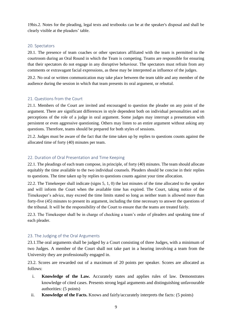19bis.2. Notes for the pleading, legal texts and textbooks can be at the speaker's disposal and shall be clearly visible at the pleaders' table.

#### <span id="page-8-0"></span>20. Spectators

20.1. The presence of team coaches or other spectators affiliated with the team is permitted in the courtroom during an Oral Round in which the Team is competing. Teams are responsible for ensuring that their spectators do not engage in any disruptive behaviour. The spectators must refrain from any comments or extravagant facial expressions, as these may be interpreted as influence of the judges.

20.2. No oral or written communication may take place between the team table and any member of the audience during the session in which that team presents its oral argument, or rebuttal.

#### <span id="page-8-1"></span>21. Questions from the Court

21.1. Members of the Court are invited and encouraged to question the pleader on any point of the argument. There are significant differences in style dependent both on individual personalities and on perceptions of the role of a judge in oral argument. Some judges may interrupt a presentation with persistent or even aggressive questioning. Others may listen to an entire argument without asking any questions. Therefore, teams should be prepared for both styles of sessions.

21.2. Judges must be aware of the fact that the time taken up by replies to questions counts against the allocated time of forty (40) minutes per team.

#### <span id="page-8-2"></span>22. Duration of Oral Presentation and Time Keeping

22.1. The pleadings of each team compose, in principle, of forty (40) minutes. The team should allocate equitably the time available to the two individual counsels. Pleaders should be concise in their replies to questions. The time taken up by replies to questions counts against your time allocation.

22.2. The Timekeeper shall indicate (signs 5, 1, 0) the last minutes of the time allocated to the speaker and will inform the Court when the available time has expired. The Court, taking notice of the Timekeeper's advice, may exceed the time limits stated so long as neither team is allowed more than forty-five (45) minutes to present its argument, including the time necessary to answer the questions of the tribunal. It will be the responsibility of the Court to ensure that the teams are treated fairly.

22.3. The Timekeeper shall be in charge of checking a team's order of pleaders and speaking time of each pleader.

#### <span id="page-8-3"></span>23. The Judging of the Oral Arguments

23.1.The oral arguments shall be judged by a Court consisting of three Judges, with a minimum of two Judges. A member of the Court shall not take part in a hearing involving a team from the University they are professionally engaged in.

23.2. Scores are rewarded out of a maximum of 20 points per speaker. Scores are allocated as follows:

- i. **Knowledge of the Law.** Accurately states and applies rules of law. Demonstrates knowledge of cited cases. Presents strong legal arguments and distinguishing unfavourable authorities: (5 points)
- ii. **Knowledge of the Facts.** Knows and fairly/accurately interprets the facts: (5 points)